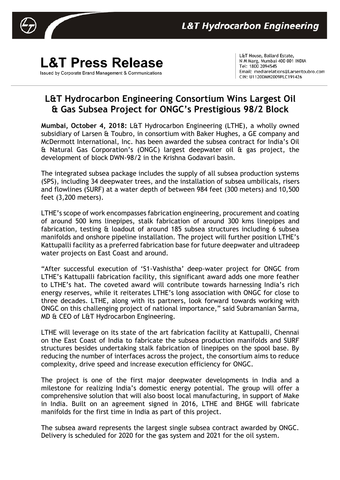

## **L&T Press Release** Issued by Corporate Brand Management & Communications

L&T House, Ballard Estate, N M Marg, Mumbai 400 001 INDIA Tel: 1800 2094545 Email: mediarelations@Larsentoubro.com CIN: U11200MH2009PLC191426

## **L&T Hydrocarbon Engineering Consortium Wins Largest Oil & Gas Subsea Project for ONGC's Prestigious 98/2 Block**

**Mumbai, October 4, 2018:** L&T Hydrocarbon Engineering (LTHE), a wholly owned subsidiary of Larsen & Toubro, in consortium with Baker Hughes, a GE company and McDermott International, Inc. has been awarded the subsea contract for India's Oil & Natural Gas Corporation's (ONGC) largest deepwater oil & gas project, the development of block DWN-98/2 in the Krishna Godavari basin.

The integrated subsea package includes the supply of all subsea production systems (SPS), including 34 deepwater trees, and the installation of subsea umbilicals, risers and flowlines (SURF) at a water depth of between 984 feet (300 meters) and 10,500 feet (3,200 meters).

LTHE's scope of work encompasses fabrication engineering, procurement and coating of around 500 kms linepipes, stalk fabrication of around 300 kms linepipes and fabrication, testing & loadout of around 185 subsea structures including 6 subsea manifolds and onshore pipeline installation. The project will further position LTHE's Kattupalli facility as a preferred fabrication base for future deepwater and ultradeep water projects on East Coast and around.

"After successful execution of 'S1-Vashistha' deep-water project for ONGC from LTHE's Kattupalli fabrication facility, this significant award adds one more feather to LTHE's hat. The coveted award will contribute towards harnessing India's rich energy reserves, while it reiterates LTHE's long association with ONGC for close to three decades. LTHE, along with its partners, look forward towards working with ONGC on this challenging project of national importance," said Subramanian Sarma, MD & CEO of L&T Hydrocarbon Engineering.

LTHE will leverage on its state of the art fabrication facility at Kattupalli, Chennai on the East Coast of India to fabricate the subsea production manifolds and SURF structures besides undertaking stalk fabrication of linepipes on the spool base. By reducing the number of interfaces across the project, the consortium aims to reduce complexity, drive speed and increase execution efficiency for ONGC.

The project is one of the first major deepwater developments in India and a milestone for realizing India's domestic energy potential. The group will offer a comprehensive solution that will also boost local manufacturing, in support of Make in India. Built on an agreement signed in 2016, LTHE and BHGE will fabricate manifolds for the first time in India as part of this project.

The subsea award represents the largest single subsea contract awarded by ONGC. Delivery is scheduled for 2020 for the gas system and 2021 for the oil system.